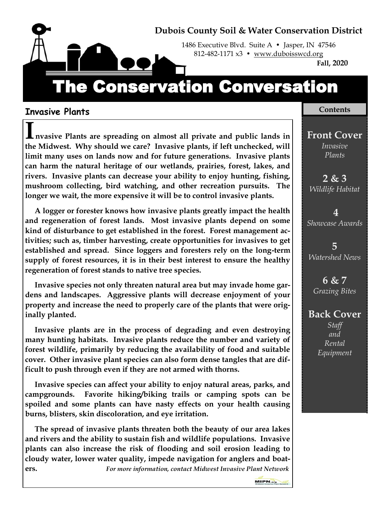

1486 Executive Blvd. Suite A • Jasper, IN 47546 812-482-1171 x3 • www.duboisswcd.org

**Fall, 2020**

# The Conservation Conversation

#### **Invasive Plants**

**Invasive Plants are spreading on almost all private and public lands in the Midwest. Why should we care? Invasive plants, if left unchecked, will limit many uses on lands now and for future generations. Invasive plants can harm the natural heritage of our wetlands, prairies, forest, lakes, and rivers. Invasive plants can decrease your ability to enjoy hunting, fishing, mushroom collecting, bird watching, and other recreation pursuits. The longer we wait, the more expensive it will be to control invasive plants.** 

 **A logger or forester knows how invasive plants greatly impact the health and regeneration of forest lands. Most invasive plants depend on some kind of disturbance to get established in the forest. Forest management activities; such as, timber harvesting, create opportunities for invasives to get established and spread. Since loggers and foresters rely on the long-term supply of forest resources, it is in their best interest to ensure the healthy regeneration of forest stands to native tree species.**

 **Invasive species not only threaten natural area but may invade home gardens and landscapes. Aggressive plants will decrease enjoyment of your property and increase the need to properly care of the plants that were originally planted.**

 **Invasive plants are in the process of degrading and even destroying many hunting habitats. Invasive plants reduce the number and variety of forest wildlife, primarily by reducing the availability of food and suitable cover. Other invasive plant species can also form dense tangles that are difficult to push through even if they are not armed with thorns.**

 **Invasive species can affect your ability to enjoy natural areas, parks, and campgrounds. Favorite hiking/biking trails or camping spots can be spoiled and some plants can have nasty effects on your health causing burns, blisters, skin discoloration, and eye irritation.**

 **The spread of invasive plants threaten both the beauty of our area lakes and rivers and the ability to sustain fish and wildlife populations. Invasive plants can also increase the risk of flooding and soil erosion leading to cloudy water, lower water quality, impede navigation for anglers and boaters.** *For more information, contact Midwest Invasive Plant Network* 

#### **Contents**

**Front Cover** *Invasive Plants*

**2 & 3** *Wildlife Habitat*

**4** *Showcase Awards*

**5**  *Watershed News*

**6 & 7** *Grazing Bites*

## **Back Cover**

*Staff and Rental Equipment*

MIPN.org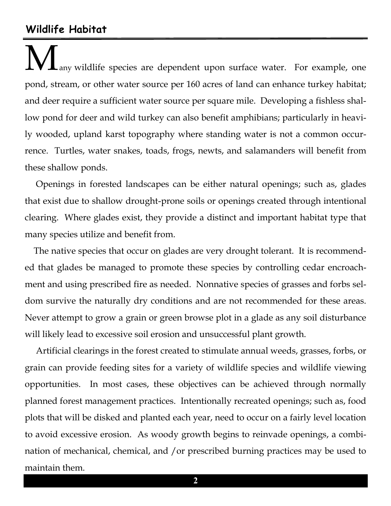# **Wildlife Habitat**

any wildlife species are dependent upon surface water. For example, one pond, stream, or other water source per 160 acres of land can enhance turkey habitat; and deer require a sufficient water source per square mile. Developing a fishless shallow pond for deer and wild turkey can also benefit amphibians; particularly in heavily wooded, upland karst topography where standing water is not a common occurrence. Turtles, water snakes, toads, frogs, newts, and salamanders will benefit from these shallow ponds.

 Openings in forested landscapes can be either natural openings; such as, glades that exist due to shallow drought-prone soils or openings created through intentional clearing. Where glades exist, they provide a distinct and important habitat type that many species utilize and benefit from.

 The native species that occur on glades are very drought tolerant. It is recommended that glades be managed to promote these species by controlling cedar encroachment and using prescribed fire as needed. Nonnative species of grasses and forbs seldom survive the naturally dry conditions and are not recommended for these areas. Never attempt to grow a grain or green browse plot in a glade as any soil disturbance will likely lead to excessive soil erosion and unsuccessful plant growth.

 Artificial clearings in the forest created to stimulate annual weeds, grasses, forbs, or grain can provide feeding sites for a variety of wildlife species and wildlife viewing opportunities. In most cases, these objectives can be achieved through normally planned forest management practices. Intentionally recreated openings; such as, food plots that will be disked and planted each year, need to occur on a fairly level location to avoid excessive erosion. As woody growth begins to reinvade openings, a combination of mechanical, chemical, and /or prescribed burning practices may be used to maintain them.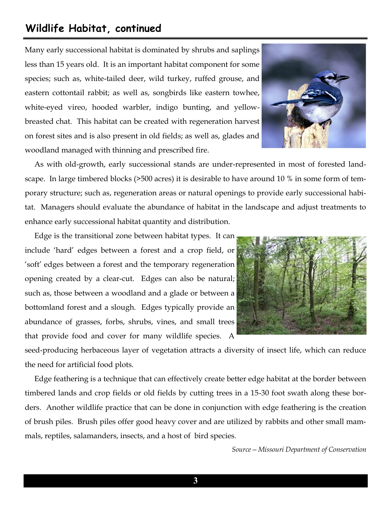# **Wildlife Habitat, continued**

Many early successional habitat is dominated by shrubs and saplings less than 15 years old. It is an important habitat component for some species; such as, white-tailed deer, wild turkey, ruffed grouse, and eastern cottontail rabbit; as well as, songbirds like eastern towhee, white-eyed vireo, hooded warbler, indigo bunting, and yellowbreasted chat. This habitat can be created with regeneration harvest on forest sites and is also present in old fields; as well as, glades and woodland managed with thinning and prescribed fire.



 As with old-growth, early successional stands are under-represented in most of forested landscape. In large timbered blocks (>500 acres) it is desirable to have around 10 % in some form of temporary structure; such as, regeneration areas or natural openings to provide early successional habitat. Managers should evaluate the abundance of habitat in the landscape and adjust treatments to enhance early successional habitat quantity and distribution.

 Edge is the transitional zone between habitat types. It can include 'hard' edges between a forest and a crop field, or 'soft' edges between a forest and the temporary regeneration opening created by a clear-cut. Edges can also be natural; such as, those between a woodland and a glade or between a bottomland forest and a slough. Edges typically provide an abundance of grasses, forbs, shrubs, vines, and small trees that provide food and cover for many wildlife species. A



seed-producing herbaceous layer of vegetation attracts a diversity of insect life, which can reduce the need for artificial food plots.

 Edge feathering is a technique that can effectively create better edge habitat at the border between timbered lands and crop fields or old fields by cutting trees in a 15-30 foot swath along these borders. Another wildlife practice that can be done in conjunction with edge feathering is the creation of brush piles. Brush piles offer good heavy cover and are utilized by rabbits and other small mammals, reptiles, salamanders, insects, and a host of bird species.

*Source—Missouri Department of Conservation*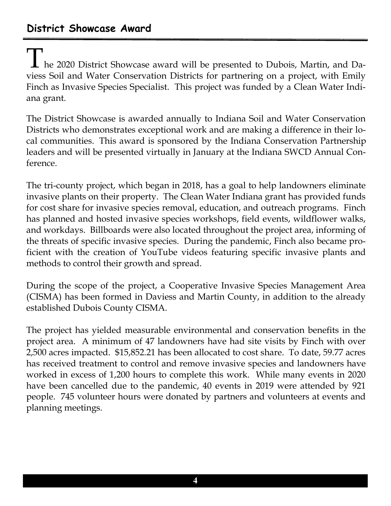# **District Showcase Award**

 $\perp$  he 2020 District Showcase award will be presented to Dubois, Martin, and Daviess Soil and Water Conservation Districts for partnering on a project, with Emily Finch as Invasive Species Specialist. This project was funded by a Clean Water Indiana grant.

The District Showcase is awarded annually to Indiana Soil and Water Conservation Districts who demonstrates exceptional work and are making a difference in their local communities. This award is sponsored by the Indiana Conservation Partnership leaders and will be presented virtually in January at the Indiana SWCD Annual Conference.

The tri-county project, which began in 2018, has a goal to help landowners eliminate invasive plants on their property. The Clean Water Indiana grant has provided funds for cost share for invasive species removal, education, and outreach programs. Finch has planned and hosted invasive species workshops, field events, wildflower walks, and workdays. Billboards were also located throughout the project area, informing of the threats of specific invasive species. During the pandemic, Finch also became proficient with the creation of YouTube videos featuring specific invasive plants and methods to control their growth and spread.

During the scope of the project, a Cooperative Invasive Species Management Area (CISMA) has been formed in Daviess and Martin County, in addition to the already established Dubois County CISMA.

The project has yielded measurable environmental and conservation benefits in the project area. A minimum of 47 landowners have had site visits by Finch with over 2,500 acres impacted. \$15,852.21 has been allocated to cost share. To date, 59.77 acres has received treatment to control and remove invasive species and landowners have worked in excess of 1,200 hours to complete this work. While many events in 2020 have been cancelled due to the pandemic, 40 events in 2019 were attended by 921 people. 745 volunteer hours were donated by partners and volunteers at events and planning meetings.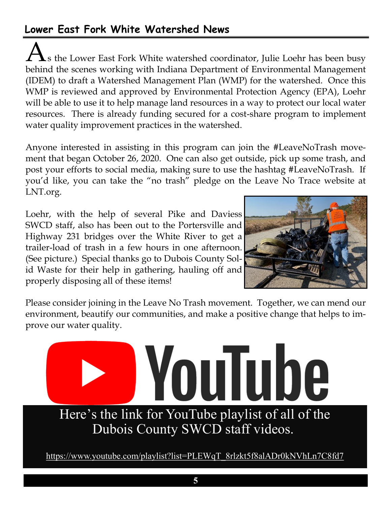# **Lower East Fork White Watershed News**

 $\bigcup$ s the Lower East Fork White watershed coordinator, Julie Loehr has been busy behind the scenes working with Indiana Department of Environmental Management (IDEM) to draft a Watershed Management Plan (WMP) for the watershed. Once this WMP is reviewed and approved by Environmental Protection Agency (EPA), Loehr will be able to use it to help manage land resources in a way to protect our local water resources. There is already funding secured for a cost-share program to implement water quality improvement practices in the watershed.

Anyone interested in assisting in this program can join the #LeaveNoTrash movement that began October 26, 2020. One can also get outside, pick up some trash, and post your efforts to social media, making sure to use the hashtag #LeaveNoTrash. If you'd like, you can take the "no trash" pledge on the Leave No Trace website at LNT.org.

Loehr, with the help of several Pike and Daviess SWCD staff, also has been out to the Portersville and Highway 231 bridges over the White River to get a trailer-load of trash in a few hours in one afternoon. (See picture.) Special thanks go to Dubois County Solid Waste for their help in gathering, hauling off and properly disposing all of these items!



Please consider joining in the Leave No Trash movement. Together, we can mend our environment, beautify our communities, and make a positive change that helps to improve our water quality.

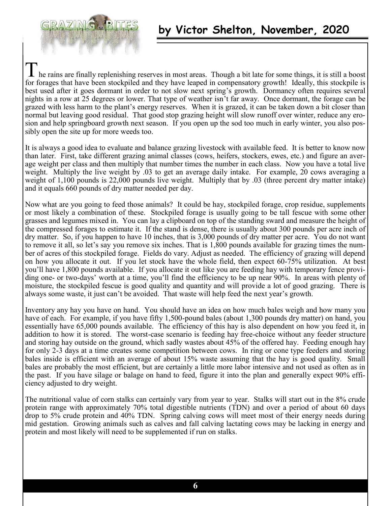

he rains are finally replenishing reserves in most areas. Though a bit late for some things, it is still a boost for forages that have been stockpiled and they have leaped in compensatory growth! Ideally, this stockpile is best used after it goes dormant in order to not slow next spring's growth. Dormancy often requires several nights in a row at 25 degrees or lower. That type of weather isn't far away. Once dormant, the forage can be grazed with less harm to the plant's energy reserves. When it is grazed, it can be taken down a bit closer than normal but leaving good residual. That good stop grazing height will slow runoff over winter, reduce any erosion and help springboard growth next season. If you open up the sod too much in early winter, you also possibly open the site up for more weeds too.

It is always a good idea to evaluate and balance grazing livestock with available feed. It is better to know now than later. First, take different grazing animal classes (cows, heifers, stockers, ewes, etc.) and figure an average weight per class and then multiply that number times the number in each class. Now you have a total live weight. Multiply the live weight by .03 to get an average daily intake. For example, 20 cows averaging a weight of 1,100 pounds is 22,000 pounds live weight. Multiply that by .03 (three percent dry matter intake) and it equals 660 pounds of dry matter needed per day.

Now what are you going to feed those animals? It could be hay, stockpiled forage, crop residue, supplements or most likely a combination of these. Stockpiled forage is usually going to be tall fescue with some other grasses and legumes mixed in. You can lay a clipboard on top of the standing sward and measure the height of the compressed forages to estimate it. If the stand is dense, there is usually about 300 pounds per acre inch of dry matter. So, if you happen to have 10 inches, that is 3,000 pounds of dry matter per acre. You do not want to remove it all, so let's say you remove six inches. That is 1,800 pounds available for grazing times the number of acres of this stockpiled forage. Fields do vary. Adjust as needed. The efficiency of grazing will depend on how you allocate it out. If you let stock have the whole field, then expect 60-75% utilization. At best you'll have 1,800 pounds available. If you allocate it out like you are feeding hay with temporary fence providing one- or two-days' worth at a time, you'll find the efficiency to be up near 90%. In areas with plenty of moisture, the stockpiled fescue is good quality and quantity and will provide a lot of good grazing. There is always some waste, it just can't be avoided. That waste will help feed the next year's growth.

Inventory any hay you have on hand. You should have an idea on how much bales weigh and how many you have of each. For example, if you have fifty 1,500-pound bales (about 1,300 pounds dry matter) on hand, you essentially have 65,000 pounds available. The efficiency of this hay is also dependent on how you feed it, in addition to how it is stored. The worst-case scenario is feeding hay free-choice without any feeder structure and storing hay outside on the ground, which sadly wastes about 45% of the offered hay. Feeding enough hay for only 2-3 days at a time creates some competition between cows. In ring or cone type feeders and storing bales inside is efficient with an average of about 15% waste assuming that the hay is good quality. Small bales are probably the most efficient, but are certainly a little more labor intensive and not used as often as in the past. If you have silage or balage on hand to feed, figure it into the plan and generally expect 90% efficiency adjusted to dry weight.

The nutritional value of corn stalks can certainly vary from year to year. Stalks will start out in the 8% crude protein range with approximately 70% total digestible nutrients (TDN) and over a period of about 60 days drop to 5% crude protein and 40% TDN. Spring calving cows will meet most of their energy needs during mid gestation. Growing animals such as calves and fall calving lactating cows may be lacking in energy and protein and most likely will need to be supplemented if run on stalks.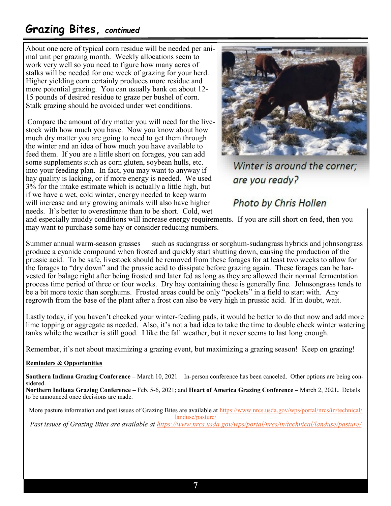# **Grazing Bites,** *continued*

About one acre of typical corn residue will be needed per animal unit per grazing month. Weekly allocations seem to work very well so you need to figure how many acres of stalks will be needed for one week of grazing for your herd. Higher yielding corn certainly produces more residue and more potential grazing. You can usually bank on about 12- 15 pounds of desired residue to graze per bushel of corn. Stalk grazing should be avoided under wet conditions.

Compare the amount of dry matter you will need for the livestock with how much you have. Now you know about how much dry matter you are going to need to get them through the winter and an idea of how much you have available to feed them. If you are a little short on forages, you can add some supplements such as corn gluten, soybean hulls, etc. into your feeding plan. In fact, you may want to anyway if hay quality is lacking, or if more energy is needed. We used 3% for the intake estimate which is actually a little high, but if we have a wet, cold winter, energy needed to keep warm will increase and any growing animals will also have higher needs. It's better to overestimate than to be short. Cold, wet



Winter is around the corner: are you ready?

# Photo by Chris Hollen

and especially muddy conditions will increase energy requirements. If you are still short on feed, then you may want to purchase some hay or consider reducing numbers.

Summer annual warm-season grasses — such as sudangrass or sorghum-sudangrass hybrids and johnsongrass produce a cyanide compound when frosted and quickly start shutting down, causing the production of the prussic acid. To be safe, livestock should be removed from these forages for at least two weeks to allow for the forages to "dry down" and the prussic acid to dissipate before grazing again. These forages can be harvested for balage right after being frosted and later fed as long as they are allowed their normal fermentation process time period of three or four weeks. Dry hay containing these is generally fine. Johnsongrass tends to be a bit more toxic than sorghums. Frosted areas could be only "pockets" in a field to start with. Any regrowth from the base of the plant after a frost can also be very high in prussic acid. If in doubt, wait.

Lastly today, if you haven't checked your winter-feeding pads, it would be better to do that now and add more lime topping or aggregate as needed. Also, it's not a bad idea to take the time to double check winter watering tanks while the weather is still good. I like the fall weather, but it never seems to last long enough.

Remember, it's not about maximizing a grazing event, but maximizing a grazing season! Keep on grazing!

#### **Reminders & Opportunities**

**Southern Indiana Grazing Conference –** March 10, 2021 – In-person conference has been canceled. Other options are being considered.

**Northern Indiana Grazing Conference –** Feb. 5-6, 2021; and **Heart of America Grazing Conference –** March 2, 2021**.** Details to be announced once decisions are made.

More pasture information and past issues of Grazing Bites are available at [https://www.nrcs.usda.gov/wps/portal/nrcs/in/technical/](https://www.nrcs.usda.gov/wps/portal/nrcs/in/technical/landuse/pasture/) [landuse/pasture/](https://www.nrcs.usda.gov/wps/portal/nrcs/in/technical/landuse/pasture/) *Past issues of Grazing Bites are available at <https://www.nrcs.usda.gov/wps/portal/nrcs/in/technical/landuse/pasture/>*